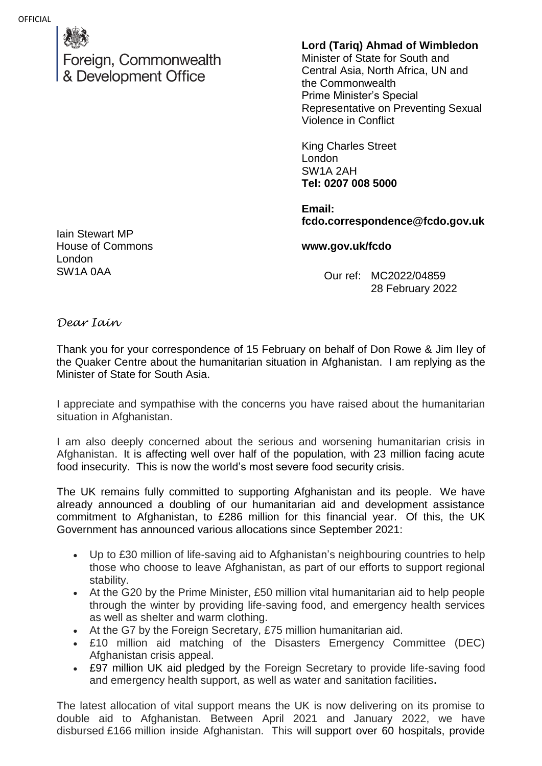Foreign, Commonwealth & Development Office

## **Lord (Tariq) Ahmad of Wimbledon**

Minister of State for South and Central Asia, North Africa, UN and the Commonwealth Prime Minister's Special Representative on Preventing Sexual Violence in Conflict

King Charles Street London SW1A 2AH **Tel: 0207 008 5000**

**Email: fcdo.correspondence@fcdo.gov.uk**

**www.gov.uk/fcdo**

Our ref: MC2022/04859 28 February 2022

Iain Stewart MP House of Commons London SW1A 0AA

*Dear Iain*

Thank you for your correspondence of 15 February on behalf of Don Rowe & Jim Iley of the Quaker Centre about the humanitarian situation in Afghanistan. I am replying as the Minister of State for South Asia.

I appreciate and sympathise with the concerns you have raised about the humanitarian situation in Afghanistan.

I am also deeply concerned about the serious and worsening humanitarian crisis in Afghanistan. It is affecting well over half of the population, with 23 million facing acute food insecurity. This is now the world's most severe food security crisis.

The UK remains fully committed to supporting Afghanistan and its people. We have already announced a doubling of our humanitarian aid and development assistance commitment to Afghanistan, to £286 million for this financial year. Of this, the UK Government has announced various allocations since September 2021:

- Up to £30 million of life-saving aid to Afghanistan's neighbouring countries to help those who choose to leave Afghanistan, as part of our efforts to support regional stability.
- At the G20 by the Prime Minister, £50 million vital humanitarian aid to help people through the winter by providing life-saving food, and emergency health services as well as shelter and warm clothing.
- At the G7 by the Foreign Secretary, £75 million humanitarian aid.
- £10 million aid matching of the Disasters Emergency Committee (DEC) Afghanistan crisis appeal.
- £97 million UK aid pledged by the Foreign Secretary to provide life-saving food and emergency health support, as well as water and sanitation facilities**.**

The latest allocation of vital support means the UK is now delivering on its promise to double aid to Afghanistan. Between April 2021 and January 2022, we have disbursed £166 million inside Afghanistan. This will support over 60 hospitals, provide